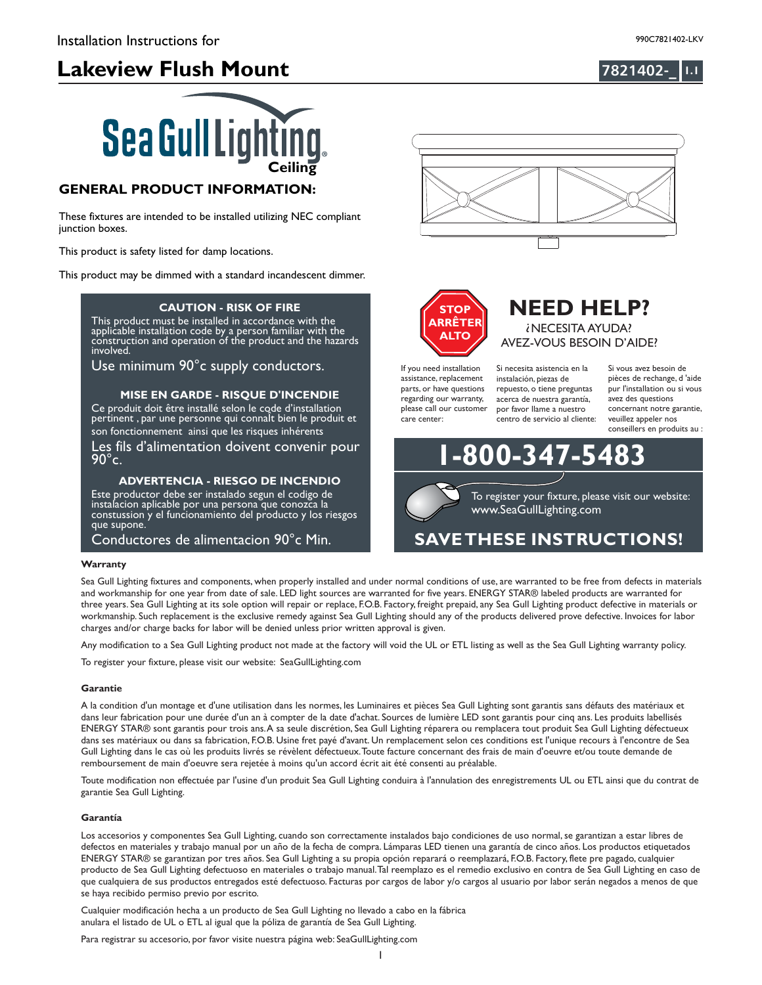





### **GENERAL PRODUCT INFORMATION:**

These fixtures are intended to be installed utilizing NEC compliant junction boxes.

This product is safety listed for damp locations.

This product may be dimmed with a standard incandescent dimmer.

#### **CAUTION - RISK OF FIRE**

llation code by a person familia **This product requires installation by a qualified electrician. Before installer**<br>**Before instructions and instructions and instructions and instructions and instructions and instructions and in** This product must be installed in accordance with the applicable installation code by a person familiar with the construction and operation of the product and the hazards involved.

Use minimum 90°c supply conductors.

### **MISE EN GARDE - RISQUE D'INCENDIE**

Ce produit doit être installé selon le code d'installation pertinent , par une personne qui connalt bien le produit et son fonctionnement ainsi que les risques inhérents

Les fils d'alimentation doivent convenir pour  $90^{\circ}$ c.

### **ADVERTENCIA - RIESGO DE INCENDIO**

Este productor debe ser instalado segun el codigo de instalacion aplicable por una persona que conozca la constussion y el funcionamiento del producto y los riesgos que supone.

Conductores de alimentacion 90°c Min.

#### **Warranty**

Sea Gull Lighting fixtures and components, when properly installed and under normal conditions of use, are warranted to be free from defects in materials and workmanship for one year from date of sale. LED light sources are warranted for five years. ENERGY STAR® labeled products are warranted for three years. Sea Gull Lighting at its sole option will repair or replace, F.O.B. Factory, freight prepaid, any Sea Gull Lighting product defective in materials or workmanship. Such replacement is the exclusive remedy against Sea Gull Lighting should any of the products delivered prove defective. Invoices for labor charges and/or charge backs for labor will be denied unless prior written approval is given.

Any modification to a Sea Gull Lighting product not made at the factory will void the UL or ETL listing as well as the Sea Gull Lighting warranty policy.

To register your fixture, please visit our website: SeaGullLighting.com

#### **Garantie**

A la condition d'un montage et d'une utilisation dans les normes, les Luminaires et pièces Sea Gull Lighting sont garantis sans défauts des matériaux et dans leur fabrication pour une durée d'un an à compter de la date d'achat. Sources de lumière LED sont garantis pour cinq ans. Les produits labellisés ENERGY STAR® sont garantis pour trois ans.A sa seule discrétion, Sea Gull Lighting réparera ou remplacera tout produit Sea Gull Lighting défectueux dans ses matériaux ou dans sa fabrication, F.O.B. Usine fret payé d'avant. Un remplacement selon ces conditions est l'unique recours à l'encontre de Sea Gull Lighting dans le cas où les produits livrés se révèlent défectueux.Toute facture concernant des frais de main d'oeuvre et/ou toute demande de remboursement de main d'oeuvre sera rejetée à moins qu'un accord écrit ait été consenti au préalable.

Toute modification non effectuée par l'usine d'un produit Sea Gull Lighting conduira à l'annulation des enregistrements UL ou ETL ainsi que du contrat de garantie Sea Gull Lighting.

#### **Garantía**

Los accesorios y componentes Sea Gull Lighting, cuando son correctamente instalados bajo condiciones de uso normal, se garantizan a estar libres de defectos en materiales y trabajo manual por un año de la fecha de compra. Lámparas LED tienen una garantía de cinco años. Los productos etiquetados ENERGY STAR® se garantizan por tres años. Sea Gull Lighting a su propia opción reparará o reemplazará, F.O.B. Factory, flete pre pagado, cualquier producto de Sea Gull Lighting defectuoso en materiales o trabajo manual.Tal reemplazo es el remedio exclusivo en contra de Sea Gull Lighting en caso de que cualquiera de sus productos entregados esté defectuoso. Facturas por cargos de labor y/o cargos al usuario por labor serán negados a menos de que se haya recibido permiso previo por escrito.

1

Cualquier modificación hecha a un producto de Sea Gull Lighting no llevado a cabo en la fábrica anulara el listado de UL o ETL al igual que la póliza de garantía de Sea Gull Lighting.

Para registrar su accesorio, por favor visite nuestra página web: SeaGullLighting.com





#### If you need installation assistance, replacement parts, or have questions regarding our warranty, please call our customer care center:

Si necesita asistencia en la instalación, piezas de repuesto, o tiene preguntas acerca de nuestra garantía, por favor llame a nuestro centro de servicio al cliente:

**1200-347-5** 

Si vous avez besoin de pièces de rechange, d 'aide pur l'installation ou si vous avez des questions concernant notre garantie, veuillez appeler nos conseillers en produits au :

www.SeaGullLighting.com To register your fixture, please visit our website:

**NEED HELP?** ? NECESITA AYUDA? AVEZ-VOUS BESOIN D'AIDE?

# **SAVETHESE INSTRUCTIONS!**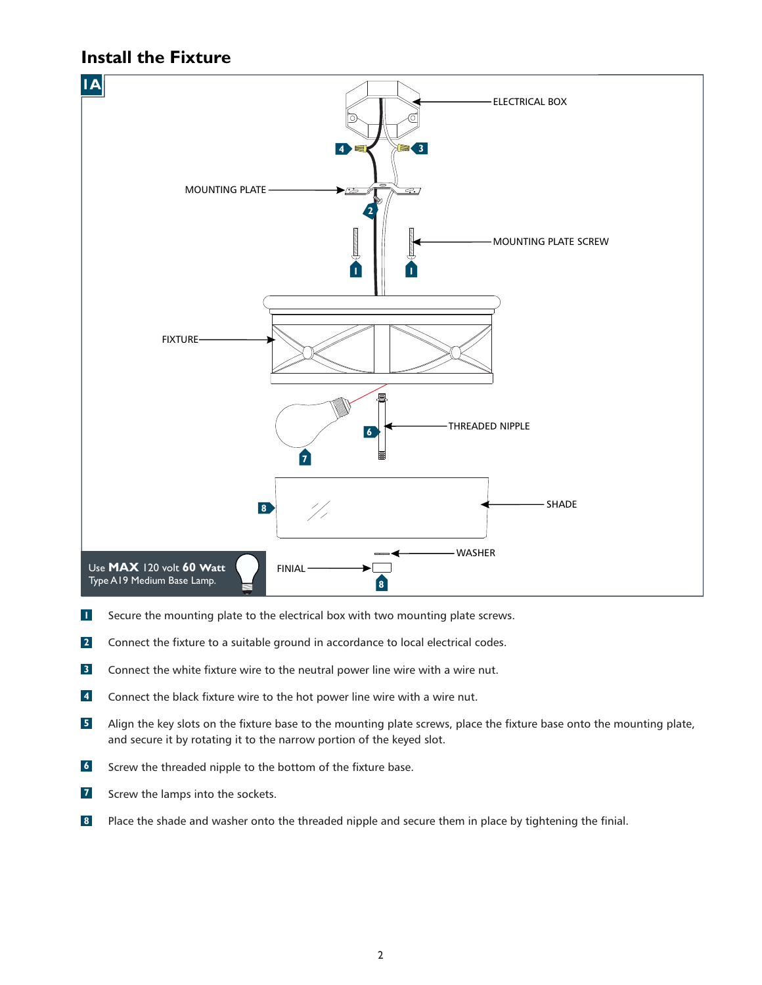### **Install the Fixture**



- Secure the mounting plate to the electrical box with two mounting plate screws. **1**
- Connect the fixture to a suitable ground in accordance to local electrical codes. **2**
- Connect the white fixture wire to the neutral power line wire with a wire nut. **3**
- Connect the black fixture wire to the hot power line wire with a wire nut. **4**
- Align the key slots on the fixture base to the mounting plate screws, place the fixture base onto the mounting plate, and secure it by rotating it to the narrow portion of the keyed slot. **5**
- Screw the threaded nipple to the bottom of the fixture base. **6**
- Screw the lamps into the sockets. **7**
- Place the shade and washer onto the threaded nipple and secure them in place by tightening the finial. **8**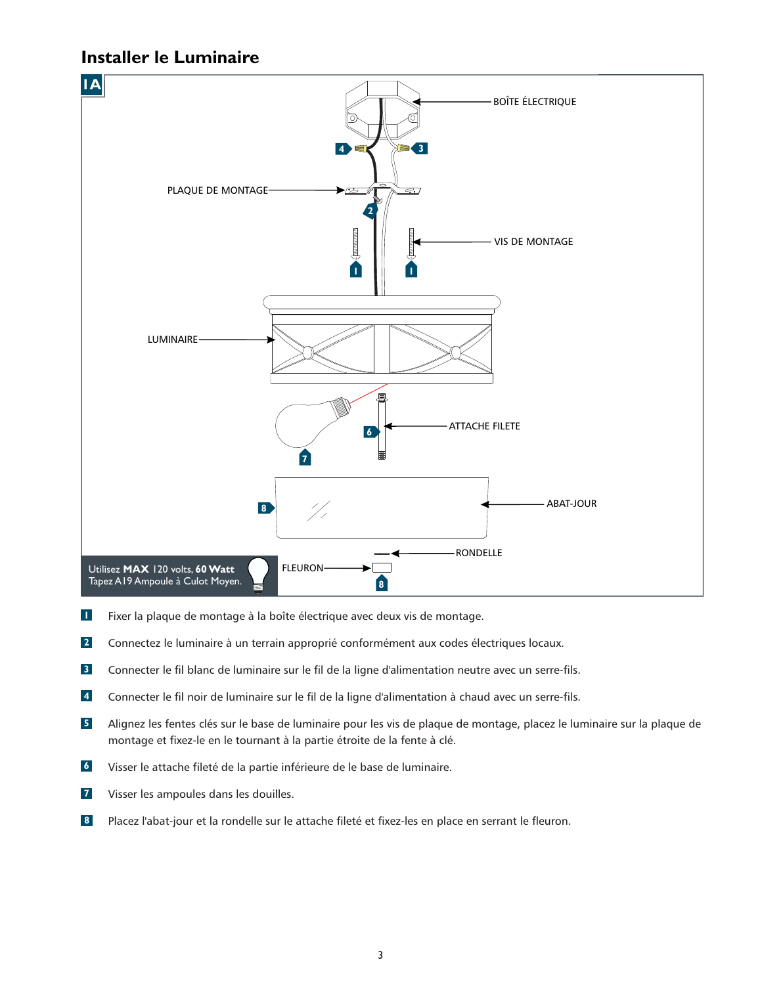### **Installer le Luminaire**



- Fixer la plaque de montage à la boîte électrique avec deux vis de montage. **1**
- Connectez le luminaire à un terrain approprié conformément aux codes électriques locaux. **2**
- Connecter le fil blanc de luminaire sur le fil de la ligne d'alimentation neutre avec un serre-fils. **3**
- Connecter le fil noir de luminaire sur le fil de la ligne d'alimentation à chaud avec un serre-fils. **4**
- Alignez les fentes clés sur le base de luminaire pour les vis de plaque de montage, placez le luminaire sur la plaque de montage et fixez-le en le tournant à la partie étroite de la fente à clé. **5**
- Visser le attache fileté de la partie inférieure de le base de luminaire. **6**
- Visser les ampoules dans les douilles. **7**
- Placez l'abat-jour et la rondelle sur le attache fileté et fixez-les en place en serrant le fleuron. **8**